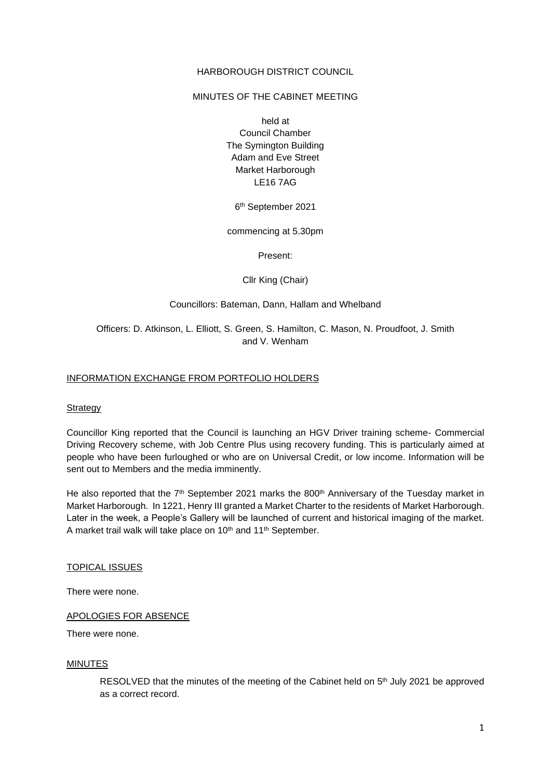#### HARBOROUGH DISTRICT COUNCIL

#### MINUTES OF THE CABINET MEETING

held at Council Chamber The Symington Building Adam and Eve Street Market Harborough LE16 7AG

6 th September 2021

commencing at 5.30pm

Present:

Cllr King (Chair)

#### Councillors: Bateman, Dann, Hallam and Whelband

Officers: D. Atkinson, L. Elliott, S. Green, S. Hamilton, C. Mason, N. Proudfoot, J. Smith and V. Wenham

#### INFORMATION EXCHANGE FROM PORTFOLIO HOLDERS

#### **Strategy**

Councillor King reported that the Council is launching an HGV Driver training scheme- Commercial Driving Recovery scheme, with Job Centre Plus using recovery funding. This is particularly aimed at people who have been furloughed or who are on Universal Credit, or low income. Information will be sent out to Members and the media imminently.

He also reported that the  $7<sup>th</sup>$  September 2021 marks the 800<sup>th</sup> Anniversary of the Tuesday market in Market Harborough. In 1221, Henry III granted a Market Charter to the residents of Market Harborough. Later in the week, a People's Gallery will be launched of current and historical imaging of the market. A market trail walk will take place on 10<sup>th</sup> and 11<sup>th</sup> September.

#### TOPICAL ISSUES

There were none.

#### APOLOGIES FOR ABSENCE

There were none.

#### MINUTES

RESOLVED that the minutes of the meeting of the Cabinet held on  $5<sup>th</sup>$  July 2021 be approved as a correct record.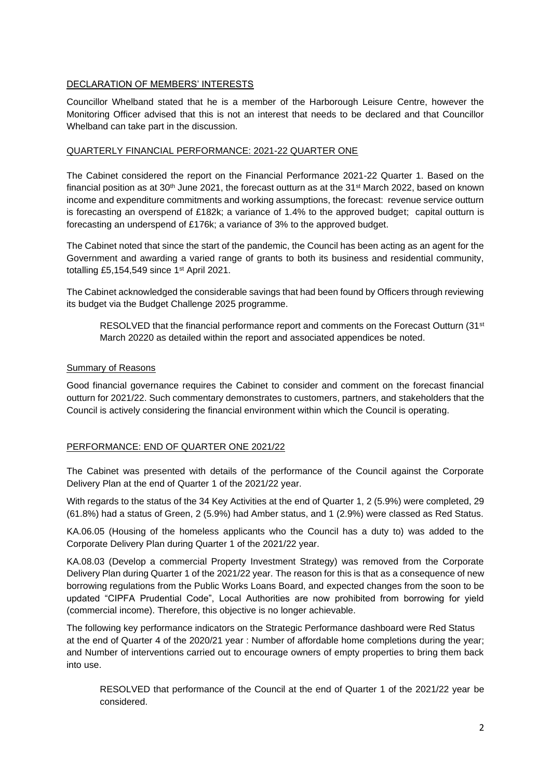# DECLARATION OF MEMBERS' INTERESTS

Councillor Whelband stated that he is a member of the Harborough Leisure Centre, however the Monitoring Officer advised that this is not an interest that needs to be declared and that Councillor Whelband can take part in the discussion.

## QUARTERLY FINANCIAL PERFORMANCE: 2021-22 QUARTER ONE

The Cabinet considered the report on the Financial Performance 2021-22 Quarter 1. Based on the financial position as at 30<sup>th</sup> June 2021, the forecast outturn as at the 31<sup>st</sup> March 2022, based on known income and expenditure commitments and working assumptions, the forecast: revenue service outturn is forecasting an overspend of £182k; a variance of 1.4% to the approved budget; capital outturn is forecasting an underspend of £176k; a variance of 3% to the approved budget.

The Cabinet noted that since the start of the pandemic, the Council has been acting as an agent for the Government and awarding a varied range of grants to both its business and residential community, totalling £5,154,549 since 1<sup>st</sup> April 2021.

The Cabinet acknowledged the considerable savings that had been found by Officers through reviewing its budget via the Budget Challenge 2025 programme.

RESOLVED that the financial performance report and comments on the Forecast Outturn (31<sup>st</sup> March 20220 as detailed within the report and associated appendices be noted.

# Summary of Reasons

Good financial governance requires the Cabinet to consider and comment on the forecast financial outturn for 2021/22. Such commentary demonstrates to customers, partners, and stakeholders that the Council is actively considering the financial environment within which the Council is operating.

# PERFORMANCE: END OF QUARTER ONE 2021/22

The Cabinet was presented with details of the performance of the Council against the Corporate Delivery Plan at the end of Quarter 1 of the 2021/22 year.

With regards to the status of the 34 Key Activities at the end of Quarter 1, 2 (5.9%) were completed, 29 (61.8%) had a status of Green, 2 (5.9%) had Amber status, and 1 (2.9%) were classed as Red Status.

KA.06.05 (Housing of the homeless applicants who the Council has a duty to) was added to the Corporate Delivery Plan during Quarter 1 of the 2021/22 year.

KA.08.03 (Develop a commercial Property Investment Strategy) was removed from the Corporate Delivery Plan during Quarter 1 of the 2021/22 year. The reason for this is that as a consequence of new borrowing regulations from the Public Works Loans Board, and expected changes from the soon to be updated "CIPFA Prudential Code", Local Authorities are now prohibited from borrowing for yield (commercial income). Therefore, this objective is no longer achievable.

The following key performance indicators on the Strategic Performance dashboard were Red Status at the end of Quarter 4 of the 2020/21 year : Number of affordable home completions during the year; and Number of interventions carried out to encourage owners of empty properties to bring them back into use.

RESOLVED that performance of the Council at the end of Quarter 1 of the 2021/22 year be considered.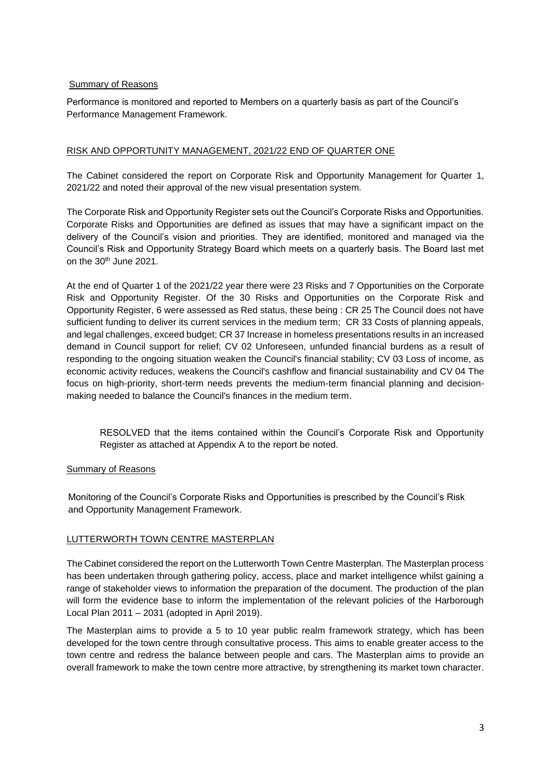## Summary of Reasons

Performance is monitored and reported to Members on a quarterly basis as part of the Council's Performance Management Framework.

# RISK AND OPPORTUNITY MANAGEMENT, 2021/22 END OF QUARTER ONE

The Cabinet considered the report on Corporate Risk and Opportunity Management for Quarter 1, 2021/22 and noted their approval of the new visual presentation system.

The Corporate Risk and Opportunity Register sets out the Council's Corporate Risks and Opportunities. Corporate Risks and Opportunities are defined as issues that may have a significant impact on the delivery of the Council's vision and priorities. They are identified, monitored and managed via the Council's Risk and Opportunity Strategy Board which meets on a quarterly basis. The Board last met on the 30<sup>th</sup> June 2021.

At the end of Quarter 1 of the 2021/22 year there were 23 Risks and 7 Opportunities on the Corporate Risk and Opportunity Register. Of the 30 Risks and Opportunities on the Corporate Risk and Opportunity Register, 6 were assessed as Red status, these being : CR 25 The Council does not have sufficient funding to deliver its current services in the medium term; CR 33 Costs of planning appeals, and legal challenges, exceed budget; CR 37 Increase in homeless presentations results in an increased demand in Council support for relief; CV 02 Unforeseen, unfunded financial burdens as a result of responding to the ongoing situation weaken the Council's financial stability; CV 03 Loss of income, as economic activity reduces, weakens the Council's cashflow and financial sustainability and CV 04 The focus on high-priority, short-term needs prevents the medium-term financial planning and decisionmaking needed to balance the Council's finances in the medium term.

RESOLVED that the items contained within the Council's Corporate Risk and Opportunity Register as attached at Appendix A to the report be noted.

### Summary of Reasons

Monitoring of the Council's Corporate Risks and Opportunities is prescribed by the Council's Risk and Opportunity Management Framework.

# LUTTERWORTH TOWN CENTRE MASTERPLAN

The Cabinet considered the report on the Lutterworth Town Centre Masterplan. The Masterplan process has been undertaken through gathering policy, access, place and market intelligence whilst gaining a range of stakeholder views to information the preparation of the document. The production of the plan will form the evidence base to inform the implementation of the relevant policies of the Harborough Local Plan 2011 – 2031 (adopted in April 2019).

The Masterplan aims to provide a 5 to 10 year public realm framework strategy, which has been developed for the town centre through consultative process. This aims to enable greater access to the town centre and redress the balance between people and cars. The Masterplan aims to provide an overall framework to make the town centre more attractive, by strengthening its market town character.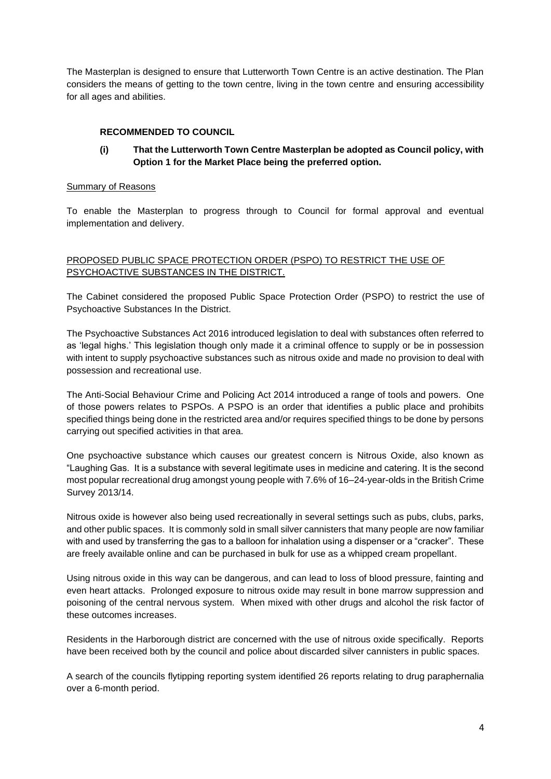The Masterplan is designed to ensure that Lutterworth Town Centre is an active destination. The Plan considers the means of getting to the town centre, living in the town centre and ensuring accessibility for all ages and abilities.

# **RECOMMENDED TO COUNCIL**

# **(i) That the Lutterworth Town Centre Masterplan be adopted as Council policy, with Option 1 for the Market Place being the preferred option.**

### Summary of Reasons

To enable the Masterplan to progress through to Council for formal approval and eventual implementation and delivery.

# PROPOSED PUBLIC SPACE PROTECTION ORDER (PSPO) TO RESTRICT THE USE OF PSYCHOACTIVE SUBSTANCES IN THE DISTRICT.

The Cabinet considered the proposed Public Space Protection Order (PSPO) to restrict the use of Psychoactive Substances In the District.

The Psychoactive Substances Act 2016 introduced legislation to deal with substances often referred to as 'legal highs.' This legislation though only made it a criminal offence to supply or be in possession with intent to supply psychoactive substances such as nitrous oxide and made no provision to deal with possession and recreational use.

The Anti-Social Behaviour Crime and Policing Act 2014 introduced a range of tools and powers. One of those powers relates to PSPOs. A PSPO is an order that identifies a public place and prohibits specified things being done in the restricted area and/or requires specified things to be done by persons carrying out specified activities in that area.

One psychoactive substance which causes our greatest concern is Nitrous Oxide, also known as "Laughing Gas. It is a substance with several legitimate uses in medicine and catering. It is the second most popular recreational drug amongst young people with 7.6% of 16–24-year-olds in the British Crime Survey 2013/14.

Nitrous oxide is however also being used recreationally in several settings such as pubs, clubs, parks, and other public spaces. It is commonly sold in small silver cannisters that many people are now familiar with and used by transferring the gas to a balloon for inhalation using a dispenser or a "cracker". These are freely available online and can be purchased in bulk for use as a whipped cream propellant.

Using nitrous oxide in this way can be dangerous, and can lead to loss of blood pressure, fainting and even heart attacks. Prolonged exposure to nitrous oxide may result in bone marrow suppression and poisoning of the central nervous system. When mixed with other drugs and alcohol the risk factor of these outcomes increases.

Residents in the Harborough district are concerned with the use of nitrous oxide specifically. Reports have been received both by the council and police about discarded silver cannisters in public spaces.

A search of the councils flytipping reporting system identified 26 reports relating to drug paraphernalia over a 6-month period.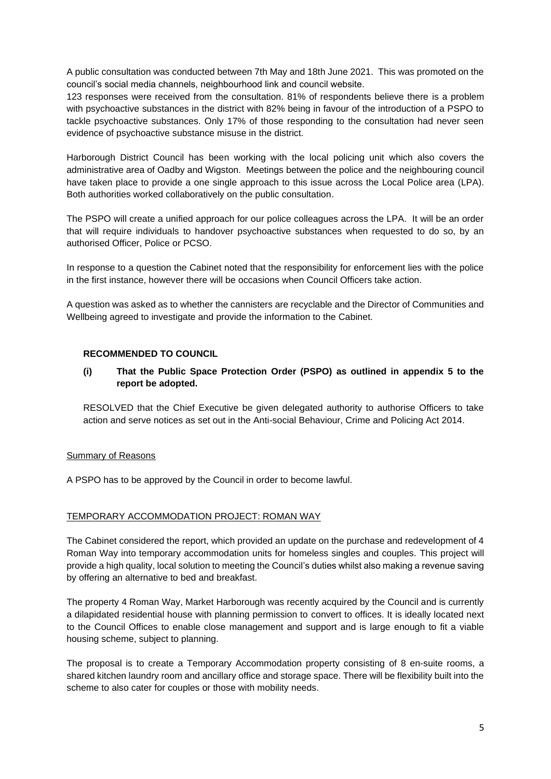A public consultation was conducted between 7th May and 18th June 2021. This was promoted on the council's social media channels, neighbourhood link and council website.

123 responses were received from the consultation. 81% of respondents believe there is a problem with psychoactive substances in the district with 82% being in favour of the introduction of a PSPO to tackle psychoactive substances. Only 17% of those responding to the consultation had never seen evidence of psychoactive substance misuse in the district.

Harborough District Council has been working with the local policing unit which also covers the administrative area of Oadby and Wigston. Meetings between the police and the neighbouring council have taken place to provide a one single approach to this issue across the Local Police area (LPA). Both authorities worked collaboratively on the public consultation.

The PSPO will create a unified approach for our police colleagues across the LPA. It will be an order that will require individuals to handover psychoactive substances when requested to do so, by an authorised Officer, Police or PCSO.

In response to a question the Cabinet noted that the responsibility for enforcement lies with the police in the first instance, however there will be occasions when Council Officers take action.

A question was asked as to whether the cannisters are recyclable and the Director of Communities and Wellbeing agreed to investigate and provide the information to the Cabinet.

### **RECOMMENDED TO COUNCIL**

# **(i) That the Public Space Protection Order (PSPO) as outlined in appendix 5 to the report be adopted.**

RESOLVED that the Chief Executive be given delegated authority to authorise Officers to take action and serve notices as set out in the Anti-social Behaviour, Crime and Policing Act 2014.

### Summary of Reasons

A PSPO has to be approved by the Council in order to become lawful.

### TEMPORARY ACCOMMODATION PROJECT: ROMAN WAY

The Cabinet considered the report, which provided an update on the purchase and redevelopment of 4 Roman Way into temporary accommodation units for homeless singles and couples. This project will provide a high quality, local solution to meeting the Council's duties whilst also making a revenue saving by offering an alternative to bed and breakfast.

The property 4 Roman Way, Market Harborough was recently acquired by the Council and is currently a dilapidated residential house with planning permission to convert to offices. It is ideally located next to the Council Offices to enable close management and support and is large enough to fit a viable housing scheme, subject to planning.

The proposal is to create a Temporary Accommodation property consisting of 8 en-suite rooms, a shared kitchen laundry room and ancillary office and storage space. There will be flexibility built into the scheme to also cater for couples or those with mobility needs.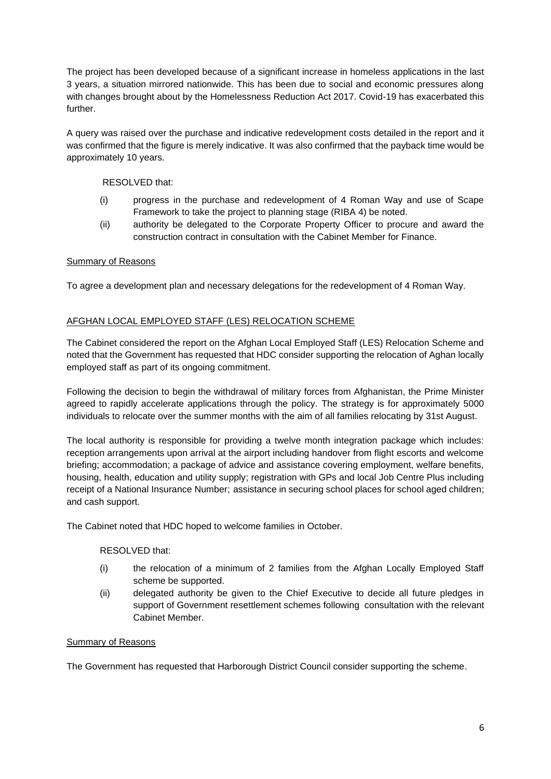The project has been developed because of a significant increase in homeless applications in the last 3 years, a situation mirrored nationwide. This has been due to social and economic pressures along with changes brought about by the Homelessness Reduction Act 2017. Covid-19 has exacerbated this further.

A query was raised over the purchase and indicative redevelopment costs detailed in the report and it was confirmed that the figure is merely indicative. It was also confirmed that the payback time would be approximately 10 years.

# RESOLVED that:

- (i) progress in the purchase and redevelopment of 4 Roman Way and use of Scape Framework to take the project to planning stage (RIBA 4) be noted.
- (ii) authority be delegated to the Corporate Property Officer to procure and award the construction contract in consultation with the Cabinet Member for Finance.

### Summary of Reasons

To agree a development plan and necessary delegations for the redevelopment of 4 Roman Way.

# AFGHAN LOCAL EMPLOYED STAFF (LES) RELOCATION SCHEME

The Cabinet considered the report on the Afghan Local Employed Staff (LES) Relocation Scheme and noted that the Government has requested that HDC consider supporting the relocation of Aghan locally employed staff as part of its ongoing commitment.

Following the decision to begin the withdrawal of military forces from Afghanistan, the Prime Minister agreed to rapidly accelerate applications through the policy. The strategy is for approximately 5000 individuals to relocate over the summer months with the aim of all families relocating by 31st August.

The local authority is responsible for providing a twelve month integration package which includes: reception arrangements upon arrival at the airport including handover from flight escorts and welcome briefing; accommodation; a package of advice and assistance covering employment, welfare benefits, housing, health, education and utility supply; registration with GPs and local Job Centre Plus including receipt of a National Insurance Number; assistance in securing school places for school aged children; and cash support.

The Cabinet noted that HDC hoped to welcome families in October.

### RESOLVED that:

- (i) the relocation of a minimum of 2 families from the Afghan Locally Employed Staff scheme be supported.
- (ii) delegated authority be given to the Chief Executive to decide all future pledges in support of Government resettlement schemes following consultation with the relevant Cabinet Member.

## Summary of Reasons

The Government has requested that Harborough District Council consider supporting the scheme.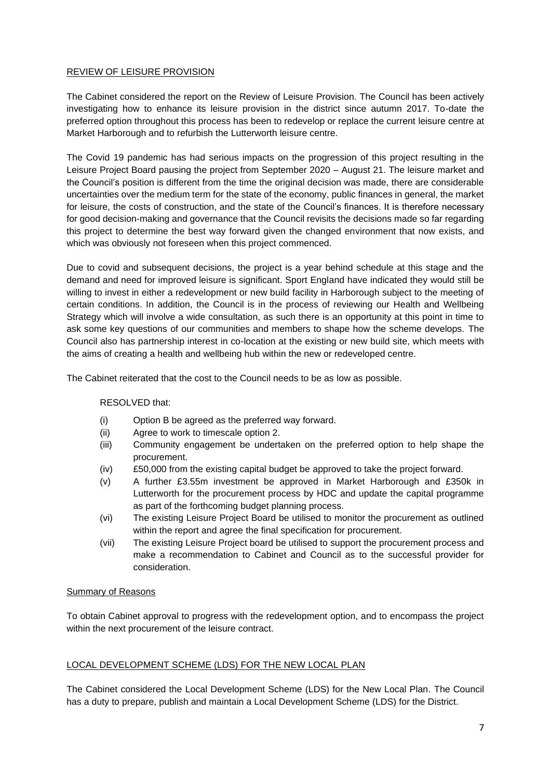### REVIEW OF LEISURE PROVISION

The Cabinet considered the report on the Review of Leisure Provision. The Council has been actively investigating how to enhance its leisure provision in the district since autumn 2017. To-date the preferred option throughout this process has been to redevelop or replace the current leisure centre at Market Harborough and to refurbish the Lutterworth leisure centre.

The Covid 19 pandemic has had serious impacts on the progression of this project resulting in the Leisure Project Board pausing the project from September 2020 – August 21. The leisure market and the Council's position is different from the time the original decision was made, there are considerable uncertainties over the medium term for the state of the economy, public finances in general, the market for leisure, the costs of construction, and the state of the Council's finances. It is therefore necessary for good decision-making and governance that the Council revisits the decisions made so far regarding this project to determine the best way forward given the changed environment that now exists, and which was obviously not foreseen when this project commenced.

Due to covid and subsequent decisions, the project is a year behind schedule at this stage and the demand and need for improved leisure is significant. Sport England have indicated they would still be willing to invest in either a redevelopment or new build facility in Harborough subject to the meeting of certain conditions. In addition, the Council is in the process of reviewing our Health and Wellbeing Strategy which will involve a wide consultation, as such there is an opportunity at this point in time to ask some key questions of our communities and members to shape how the scheme develops. The Council also has partnership interest in co-location at the existing or new build site, which meets with the aims of creating a health and wellbeing hub within the new or redeveloped centre.

The Cabinet reiterated that the cost to the Council needs to be as low as possible.

### RESOLVED that:

- (i) Option B be agreed as the preferred way forward.
- (ii) Agree to work to timescale option 2.
- (iii) Community engagement be undertaken on the preferred option to help shape the procurement.
- (iv) £50,000 from the existing capital budget be approved to take the project forward.
- (v) A further £3.55m investment be approved in Market Harborough and £350k in Lutterworth for the procurement process by HDC and update the capital programme as part of the forthcoming budget planning process.
- (vi) The existing Leisure Project Board be utilised to monitor the procurement as outlined within the report and agree the final specification for procurement.
- (vii) The existing Leisure Project board be utilised to support the procurement process and make a recommendation to Cabinet and Council as to the successful provider for consideration.

### Summary of Reasons

To obtain Cabinet approval to progress with the redevelopment option, and to encompass the project within the next procurement of the leisure contract.

# LOCAL DEVELOPMENT SCHEME (LDS) FOR THE NEW LOCAL PLAN

The Cabinet considered the Local Development Scheme (LDS) for the New Local Plan. The Council has a duty to prepare, publish and maintain a Local Development Scheme (LDS) for the District.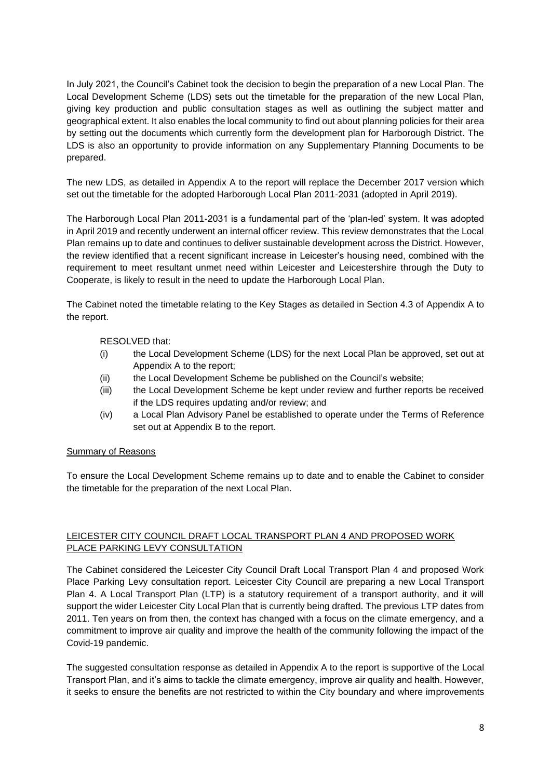In July 2021, the Council's Cabinet took the decision to begin the preparation of a new Local Plan. The Local Development Scheme (LDS) sets out the timetable for the preparation of the new Local Plan, giving key production and public consultation stages as well as outlining the subject matter and geographical extent. It also enables the local community to find out about planning policies for their area by setting out the documents which currently form the development plan for Harborough District. The LDS is also an opportunity to provide information on any Supplementary Planning Documents to be prepared.

The new LDS, as detailed in Appendix A to the report will replace the December 2017 version which set out the timetable for the adopted Harborough Local Plan 2011-2031 (adopted in April 2019).

The Harborough Local Plan 2011-2031 is a fundamental part of the 'plan-led' system. It was adopted in April 2019 and recently underwent an internal officer review. This review demonstrates that the Local Plan remains up to date and continues to deliver sustainable development across the District. However, the review identified that a recent significant increase in Leicester's housing need, combined with the requirement to meet resultant unmet need within Leicester and Leicestershire through the Duty to Cooperate, is likely to result in the need to update the Harborough Local Plan.

The Cabinet noted the timetable relating to the Key Stages as detailed in Section 4.3 of Appendix A to the report.

### RESOLVED that:

- (i) the Local Development Scheme (LDS) for the next Local Plan be approved, set out at Appendix A to the report;
- (ii) the Local Development Scheme be published on the Council's website;
- (iii) the Local Development Scheme be kept under review and further reports be received if the LDS requires updating and/or review; and
- (iv) a Local Plan Advisory Panel be established to operate under the Terms of Reference set out at Appendix B to the report.

### Summary of Reasons

To ensure the Local Development Scheme remains up to date and to enable the Cabinet to consider the timetable for the preparation of the next Local Plan.

# LEICESTER CITY COUNCIL DRAFT LOCAL TRANSPORT PLAN 4 AND PROPOSED WORK PLACE PARKING LEVY CONSULTATION

The Cabinet considered the Leicester City Council Draft Local Transport Plan 4 and proposed Work Place Parking Levy consultation report. Leicester City Council are preparing a new Local Transport Plan 4. A Local Transport Plan (LTP) is a statutory requirement of a transport authority, and it will support the wider Leicester City Local Plan that is currently being drafted. The previous LTP dates from 2011. Ten years on from then, the context has changed with a focus on the climate emergency, and a commitment to improve air quality and improve the health of the community following the impact of the Covid-19 pandemic.

The suggested consultation response as detailed in Appendix A to the report is supportive of the Local Transport Plan, and it's aims to tackle the climate emergency, improve air quality and health. However, it seeks to ensure the benefits are not restricted to within the City boundary and where improvements